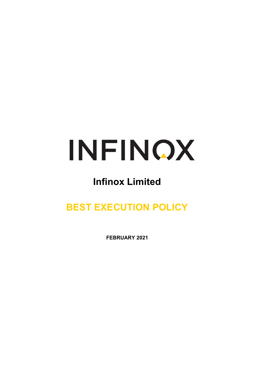

# **Infinox Limited**

# **BEST EXECUTION POLICY**

**FEBRUARY 2021**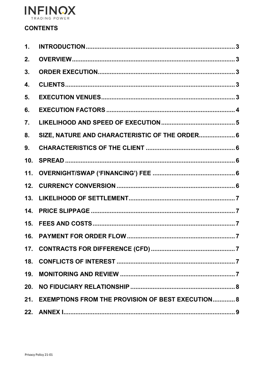

# **CONTENTS**

| 1. |                                                       |  |
|----|-------------------------------------------------------|--|
| 2. |                                                       |  |
| 3. |                                                       |  |
| 4. |                                                       |  |
| 5. |                                                       |  |
| 6. |                                                       |  |
| 7. |                                                       |  |
| 8. | SIZE, NATURE AND CHARACTERISTIC OF THE ORDER 6        |  |
| 9. |                                                       |  |
|    |                                                       |  |
|    |                                                       |  |
|    |                                                       |  |
|    |                                                       |  |
|    |                                                       |  |
|    |                                                       |  |
|    |                                                       |  |
|    |                                                       |  |
|    |                                                       |  |
|    |                                                       |  |
|    |                                                       |  |
|    | 21. EXEMPTIONS FROM THE PROVISION OF BEST EXECUTION 8 |  |
|    |                                                       |  |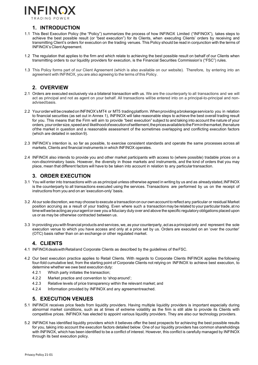

# **1. INTRODUCTION**

- <span id="page-2-0"></span>1.1 This Best Execution Policy (the "Policy") summarizes the process of how INFINOX Limited ("INFINOX"), takes steps to achieve the best possible result (or "best execution") for its Clients, when executing Clients' orders by receiving and transmitting Client's orders for execution on the trading venues. This Policy should be read in conjunction with the terms of INFINOX's ClientAgreement.
- 1.2 The regulation that applies to the firm and which relate to achieving the best possible result on behalf of our Clients when transmitting orders to our liquidity providers for execution, is the Financial Securities Commission's ("FSC") rules.
- 1.3 This Policy forms part of our Client Agreement (which is also available on our website). Therefore, by entering into an agreement with INFINOX, you are also agreeing to the terms of this Policy.

# **2. OVERVIEW**

- <span id="page-2-1"></span>2.1 Orders are executed exclusively via a bilateral transaction with us. We are the counterparty to all transactions and we will act as principal and not as agent on your behalf. All transactions willbe entered into on a principal-to-principal and nonadvisedbasis.
- 2.2 Your order will be created on INFINOX's MT4 or MT5 trading platform. When providing a brokerage service to you in relation to financial securities (as set out in Annex 1), INFINOX will take reasonable steps to achieve the best overall trading result for you. This means that the Firm will aim to provide "best execution" subject to and taking into account the nature of your orders, your order size, speed and likelihood of execution of settlement, the prices available to the Firm in the market, the nature ofthe market in question and a reasonable assessment of the sometimes overlapping and conflicting execution factors (which are detailed in section 9).
- 2.3 INFINOX's intention is, so far as possible, to exercise consistent standards and operate the same processes across all markets, Clients and financial instruments in which INFINOX operates.
- 2.4 INFINOX also intends to provide you and other market participants with access to (where possible) tradable prices on a non-discriminatory basis. However, the diversity in those markets and instruments, and the kind of orders that you may place, mean that different factors will have to be taken into account in relation to any particular transaction.

### **3. ORDER EXECUTION**

- <span id="page-2-2"></span>3.1 You will enter into transactions with us as principal unless otherwise agreed in writing by us and as alreadystated, INFINOX is the counterparty to all transactions executed using the services. Transactions are performed by us on the receipt of instructions from you and on an 'execution-only' basis.
- 3.2 At our sole discretion, we may choose to execute a transaction on our own account to reflect any particular or residual Market position accruing as a result of your trading. Even where such a transaction may be related to your particulartrade, at no timewillwebeactingasyouragentorowe you a fiduciary duty over and above the specific regulatory obligations placed upon us or as may be otherwise contracted between us.
- 3.3 In providing you with financialproducts and services, we, as your counterparty, act as a principalonly and represent the sole execution venue to which you have access and only at a price set by us. Orders are executed on an 'over the counter' (OTC) basis rather than on an exchange or other regulated market.

# **4. CLIENTS**

- <span id="page-2-3"></span>4.1 INFINOXdealswithRetailand Corporate Clients as described by the guidelines of theFSC.
- 4.2 Our best execution practice applies to Retail Clients. With regards to Corporate Clients INFINOX applies the following four-fold cumulative test, from the starting point of Corporate Clients not relying on INFINOX to achieve best execution, to determine whether we owe best execution duty:
	- 4.2.1 Which party initiates the transaction;
	- 4.2.2 Market practice and convention to 'shop around';
	- 4.2.3 Relative levels of price transparency within the relevant market; and
	- 4.2.4 Information provided by INFINOX and any agreementreached.

### **5. EXECUTION VENUES**

- <span id="page-2-4"></span>5.1 INFINOX receives price feeds from liquidity providers. Having multiple liquidity providers is important especially during abnormal market conditions, such as at times of extreme volatility as the firm is still able to provide its Clients with competitive prices. INFINOX has elected to appoint various liquidity providers. They are also our technology providers.
- 5.2 INFINOX has identified liquidity providers which it believes offer the best prospects for achieving the best possible results for you, taking into account the execution factors detailed below. One of our liquidity providers has common shareholdings with INFINOX, which has been identified to be a conflict of interest. However, this conflict is carefully managed by INFINOX through its best execution policy.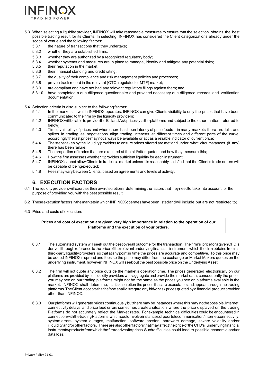

- 5.3 When selecting a liquidity provider, INFINOX will take reasonable measures to ensure that the selection obtains the best possible trading result for its Clients. In selecting, INFINOX has considered the Client categorizations already under the scope of venue and the following factors:
	- 5.3.1 the nature of transactions that they undertake;
	- 5.3.2 whether they are established firms;
	- 5.3.3 whether they are authorized by a recognized regulatory body;
	- 5.3.4 whether systems and measures are in place to manage, identify and mitigate any potential risks;
	- 5.3.5 their reputation in the market;
	- 5.3.6 their financial standing and credit rating;
	- 5.3.7 the quality of their compliance and risk management policies and processes;
	- 5.3.8 proven track record in the relevant (OTC, regulated or MTF) market;
	- 5.3.9 are compliant and have not had any relevant regulatory filings against them; and 5.3.10 have completed a due diliquence questionnaire and provided necessary due diliquent
	- have completed a due diligence questionnaire and provided necessary due diligence records and verification documentation.
- 5.4 Selection criteria is also subject to the followingfactors:
	- 5.4.1 In the markets in which INFINOX operates, INFINOX can give Clients visibility to only the prices that have been communicated to the firm by the liquidity providers;
	- 5.4.2 INFINOXwill beabletoprovidetheBidandAsk prices (viatheplatforms andsubjectto the other matters referred to below);
	- 5.4.3 Time availability of prices and where there has been latency of price feeds in many markets there are lulls and spikes in trading as negotiations align trading interests at different times and different parts of the curve, accordingly the last price may not always be available or act as a reliable indicator of current price;
	- 5.4.4 The steps taken by the liquidity providers to ensure prices offered are met and under what circumstances (if any) there has been failure;
	- 5.4.5 The proportion of trades that are executed at the bid/offer quoted and how they measure this;
	- 5.4.6 How the firm assesses whether it provides sufficient liquidity for each instrument;
	- 5.4.7 INFINOX cannot allow Clients to trade in a market unless it is reasonably satisfied that the Client's trade orders will be capable of beingexecuted;
	- 5.4.8 Fees may vary between Clients, based on agreements and levels of activity.

# **6. EXECUTION FACTORS**

- <span id="page-3-0"></span>6.1 Theliquidityproviderswillexercisetheirowndiscretionindeterminingthefactorsthattheyneedto take into account for the purpose of providing you with the best possible result.
- 6.2 TheseexecutionfactorsinthemarketsinwhichINFINOXoperateshavebeenlistedandwillinclude,but are not restricted to;
- 6.3 Price and costs of execution:

#### **Prices and cost of execution are given very high importance in relation to the operation of our Platforms and the execution of your orders.**

- 6.3.1 The automated system will seek out the best overall outcome for the transaction. The firm's priceforagivenCFDis derived through reference to the price of the relevant underlying financial instrument, which the firm obtains from its third-partyliquidityproviders,sothatatanypointin time the prices are accurate and competitive. To this price may be added INFINOX's spread and fees so the price may differ from the exchange or Market Makers quotes on the underlying instrument, however INFINOX will seek out the best possible price on the Underlying Asset.
- 6.3.2 The firm will not quote any price outside the market's operation time. The prices generated electronically on our platforms are provided by our liquidity providers who aggregate and provide the market data, consequently the prices you may see on our trading platforms might not be the same as the prices you see on platforms available in the market. INFINOX shall determine, at its discretion the prices that are executable and appear through the trading platforms.TheClient accepts that he/she shall disregard any bid/or ask prices quoted by a financial product provider other than INFINOX.
- 6.3.3 Our platforms will generate prices continuously but there may be instances where this may notbepossible.Internet, connectivity delays, and price feed errors sometimes create a situation where the price displayed on the trading Platforms do not accurately reflect the Market rates. For example, technical difficulties could be encountered in connectionwiththetradingPlatforms which could involve instances of poortelecommunication/internet connectivity, system errors, system outages, malfunction, software erosion, hardware damage, severe volatility and/or illiquidityand/orotherfactors. Thereare alsootherfactors thatmay affectthepriceofthe CFD's underlying financial instruments/productsfromwhichthefirmderivesitsprices.Suchdifficulties could lead to possible economic and/or data loss.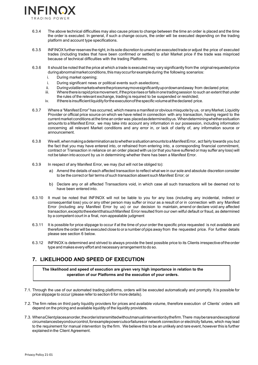

- 6.3.4 The above technical difficulties may also cause prices to change between the time an order is placed and the time the order is executed. In general, if such a change occurs, the order will be executed depending on the trading platform and account type specifications.
- 6.3.5 INFINOXfurtherreserves the right, in its sole discretion to unwind an executed trade or adjust the price of executed trades (including trades that have been confirmed or settled) to afair Market price if the trade was mispriced because of technical difficulties with the trading Platforms.
- 6.3.6 It should be noted that the price at which a trade is executed may vary significantly from the originalrequestedprice during abnormal market conditions, this may occur for example during the following scenarios:
	- i. During market opening;
	- i. During significant news or political events such aselections;
	- ii. Duringvolatilemarketswherethepricesmaymovesignificantlyupordownandaway from declared price;
	- iii. Where there is rapid price movement, if the price rises or falls in one trading session to such an extent that under the rules of the relevant exchange, trading is required to be suspended or restricted;
	- iv. Ifthereisinsufficientliquidityfortheexecutionofthespecificvolumeatthedeclared price.
- 6.3.7 Where a "ManifestError" has occurred, which means a manifest or obvious misquote by us, orany Market, Liquidity Provider or official price source on which we have relied in connection with any transaction, having regard to the current market conditions at thetime an order was placedasdeterminedbyus. Whendeterminingwhetherasituation amounts to a Manifest Error, we may take into account any information in our possession, including information concerning all relevant Market conditions and any error in, or lack of clarity of, any information source or announcement.
- 6.3.8 Wewill,whenmakingadeterminationastowhetherasituationamountstoaManifestError, act fairly towards you but the fact that you may have entered into, or refrained from entering into, a corresponding financial commitment, contract or Transaction in reliance on an order placed with us (or that you have suffered or may suffer any loss) will not be taken into account by us in determining whether there has been a Manifest Error.
- 6.3.9 In respect of any Manifest Error, we may (but will not be obliged to):
	- a) Amend the details of each affected transaction to reflect what we in our sole and absolute discretion consider to be the correct or fair terms of such transaction absent such Manifest Error; or
	- b) Declare any or all affected Transactions void, in which case all such transactions will be deemed not to have been entered into.
- 6.3.10 It must be noted that INFINOX will not be liable to you for any loss (including any incidental, indirect or consequential loss) you or any other person may suffer or incur as a result of or in connection with any Manifest Error (including any Manifest Error by us) or our decision to maintain, amend or declare void any affected transaction,excepttotheextentthatsuchManifest Error resulted from our own wilful default or fraud, as determined by a competent court in a final, non-appealable judgment
- 6.3.11 It is possible for price slippage to occur if at the time of your order the specific price requested is not available and therefore the order will be executed close to or a number of pips away from the requested price. For further details please see section 6 below.
- 6.3.12 INFINOX is determined and strived to always provide the best possible price to its Clients irrespectiveoftheorder type and makes every effort and necessary arrangement to do so.

# <span id="page-4-0"></span>**7. LIKELIHOOD AND SPEED OF EXECUTION**

**The likelihood and speed of execution are given very high importance in relation to the operation of our Platforms and the execution of your orders.**

- 7.1. Through the use of our automated trading platforms, orders will be executed automatically and promptly. It is possible for price slippage to occur (please refer to section 6 for more details).
- 7.2. The firm relies on third party liquidity providers for prices and available volume, therefore execution of Clients' orders will depend on the pricing and available liquidity of the liquidity providers.
- 7.3. WhenaClientplacesanorder,theorderistransmittedwithoutmanualinterventionbythefirm.There mayberareandexceptional circumstancesbeyondourcontrol,forexamplepowercutsorfailuresor network connection or electricity failures, which may lead to the requirement for manual intervention by the firm. We believe this to be an unlikely and rare event, however this is further explained in the Client Agreement.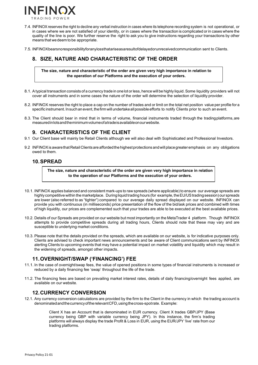

- 7.4. INFINOX reserves the right to decline any verbal instruction in cases where its telephone recording system is not operational, or in cases where we are not satisfied of your identity, or in cases where the transaction is complicated or in cases where the quality of the line is poor. We further reserve the right to ask you to give instructions regarding your transactions by other means that wedeem to be appropriate.
- 7.5. INFINOXbearsnoresponsibilityforanylossthatariseasaresultofdelayedorunreceivedcommunication sent to Clients.

# <span id="page-5-0"></span>**8. SIZE, NATURE AND CHARACTERISTIC OF THE ORDER**

**The size, nature and characteristic of the order are given very high importance in relation to the operation of our Platforms and the execution of your orders.**

- 8.1. Atypical transaction consists of a currency trade in onelot orless, hence will be highly liquid.Some liquidity providers will not cover all instruments and in some cases the nature of the order will determine the selection of liquidity provider.
- 8.2. INFINOX reserves the right to place a cap on the number of trades and or limit on the total net position value per profile for a specific instrument. In such an event, the firm will undertake all possible efforts to notify Clients prior to such an event.
- 8.3. The Client should bear in mind that in terms of volume, financial instruments traded through the tradingplatforms,are measuredinlotsandtheminimumvolumeofatradeisavailableonourwebsite.

# **9. CHARACTERISTICS OF THE CLIENT**

- <span id="page-5-1"></span>9.1 Our Client base will mainly be Retail Clients although we will also deal with Sophisticated and Professional Investors.
- 9.2 INFINOX is aware that Retail Clients are afforded the highest protections and will place greater emphasis on any obligations owed to them.

### <span id="page-5-2"></span>**10.SPREAD**

**The size, nature and characteristic of the order are given very high importance in relation to the operation of our Platforms and the execution of your orders.**

- 10.1. INFINOX applies balanced and consistent mark-ups to raw spreads (where applicable) to ensure our average spreads are highly competitive within the marketplace. During liquid trading hours (for example, the EU/US trading session) our spreads are lower (also referred to as "tighter") compared to our average daily spread displayed on our website. INFINOX can provide you with continuous (in milliseconds) price presentation of the flow of the bid/ask prices and combined with times of high liquidity, our prices are complemented such that your trades are able to be executed at the best available prices.
- 10.2. Details of our Spreads are provided on our website but most importantly on the MetaTrader 4 platform. Though INFINOX attempts to provide competitive spreads during all trading hours, Clients should note that these may vary and are susceptible to underlying market conditions.
- 10.3. Please note that the details provided on the spreads, which are available on our website, is for indicative purposes only. Clients are advised to check important news announcements and be aware of Client communications sent by INFINOX alerting Clients to upcoming events that may have a potential impact on market volatility and liquidity which may result in the widening of spreads, amongst other impacts.

# **11.OVERNIGHT/SWAP ('FINANCING') FEE**

- <span id="page-5-3"></span>11.1. In the case of overnight/swap fees, the value of opened positions in some types of financial instruments is increased or reduced by a daily financing fee 'swap' throughout the life of the trade.
- 11.2. The financing fees are based on prevailing market interest rates, details of daily financing/overnight fees applied, are available on our website.

# **12.CURRENCY CONVERSION**

<span id="page-5-4"></span>12.1. Any currency conversion calculations are provided by the firm to the Client in the currency in which the trading account is denominatedandthecurrencyoftherelevantCFD,usingthecross-spotrate. Example:

> Client X has an Account that is denominated in EUR currency. Client X trades GBP/JPY (Base currency being GBP with variable currency being JPY). In this instance, the firm's trading platforms will always display the trade Profit & Loss in EUR, using the EUR/JPY 'live' rate from our trading platforms.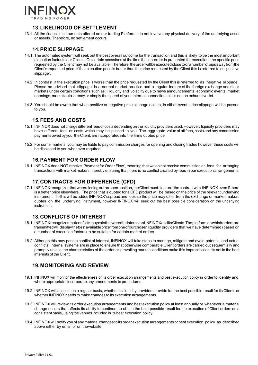

# **13.LIKELIHOOD OF SETTLEMENT**

<span id="page-6-0"></span>13.1 All the financial instruments offered on our trading Platforms do not involve any physical delivery of the underlying asset or assets. Therefore, no settlement occurs.

# **14.PRICE SLIPPAGE**

- <span id="page-6-1"></span>14.1. The automated system will seek out the best overall outcome for the transaction and this is likely to be the most important execution factor to our Clients. On certain occasions at the time that an order is presented for execution, the specific price requested by the Client may not be available. Therefore, the order will be executed close to oranumber of pips away from the Client'srequested price. If the execution price is better than the price requested by the Client this is referred to as 'positive slippage'.
- 14.2. In contrast, if the execution price is worse than the price requested by the Client this is referred to as 'negative slippage'. Please be advised that 'slippage' is a normal market practice and a regular feature of the foreign exchange and stock markets under certain conditions such as; illiquidity and volatility due to news announcements, economic events, market openings, market data latency or simply the speed of your internet connection this is not an exhaustive list.
- 14.3. You should be aware that when positive or negative price slippage occurs, in either event, price slippage will be passed to you.

# **15.FEES AND COSTS**

- <span id="page-6-2"></span>15.1. INFINOXdoes not chargedifferentfeesor costsdependingontheliquidityprovidersused.However, liquidity providers may have different fees or costs which may be passed to you. The aggregate value of all fees, costs and any commission payments owed by you, the Client, are incorporated into the firms quoted price.
- 15.2. For some markets, you may be liable to pay commission charges for opening and closing trades however these costs will be disclosed to you whenever required.

# **16.PAYMENT FOR ORDER FLOW**

<span id="page-6-3"></span>16.1. INFINOX does NOT receive 'Payment for Order Flow', meaning that we do not receive commission or fees for arranging transactions with market makers, thereby ensuring that there is no conflict created by fees in our executionarrangements.

## **17.CONTRACTS FOR DIFFERENCE (CFD)**

<span id="page-6-4"></span>17.1. INFINOXrecognizesthatwhenclosingoutanopenposition,theClientmustcloseoutthecontractwith INFINOX even if there is a better price elsewhere. The price that is quoted for a CFD product will be based on the price of the relevant underlying instrument. To this will be added INFINOX's spread and fees so the price may differ from the exchange or market makers quotes on the underlying instrument, however INFINOX will seek out the best possible consideration on the underlying instrument.

### **18.CONFLICTS OF INTEREST**

- <span id="page-6-5"></span>18.1. INFINOXrecognizesthatconflictsmayexistbetweentheinterestsofINFINOXanditsClients.Theplatform onwhichordersare transmittedwilldisplaythebestavailablepricefromoneofourchosenliquidity providers that we have determined (based on a number of execution factors) to be suitable for certain market orders.
- 18.2. Although this may pose a conflict of interest, INFINOX will take steps to manage, mitigate and avoid potential and actual conflicts. Internal systems are in place to ensure that otherwise comparable Client orders are carried out sequentially and promptly unless the characteristics of the order or prevailing market conditions make this impractical or it is not in the best interests of the Client.

# <span id="page-6-6"></span>**19.MONITORING AND REVIEW**

- 19.1. INFINOX will monitor the effectiveness of its order execution arrangements and best execution policy in order to identify and, where appropriate, incorporate any amendments to procedures.
- 19.2. INFINOX will assess, on a regular basis, whether its liquidity providers provide for the best possible result for its Clients or whether INFINOX needs to make changes to its execution arrangements.
- 19.3. INFINOX will review its order execution arrangements and best execution policy at least annually or whenever a material change occurs that affects its ability to continue, to obtain the best possible result for the execution of Client orders on a consistent basis, using the venues included in its best execution policy.
- 19.4. INFINOX will notify you of any material changes to its order execution arrangements or best execution policy as described above either by email or on thewebsite.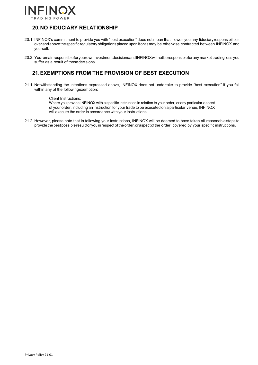

# <span id="page-7-0"></span>**20.NO FIDUCIARY RELATIONSHIP**

- 20.1. INFINOX's commitment to provide you with "best execution" does not mean that it owes you any fiduciaryresponsibilities overandabovethespecific regulatoryobligationsplaceduponitorasmay be otherwise contracted between INFINOX and yourself.
- 20.2. YouremainresponsibleforyourowninvestmentdecisionsandINFINOXwillnotberesponsibleforany market trading loss you suffer as a result of thosedecisions.

# <span id="page-7-1"></span>**21.EXEMPTIONS FROM THE PROVISION OF BEST EXECUTION**

21.1. Notwithstanding the intentions expressed above, INFINOX does not undertake to provide "best execution" if you fall within any of the followingexemption:

#### Client Instructions:

Where you provide INFINOX with a specific instruction in relation to your order, or any particular aspect of your order, including an instruction for your trade to be executed on a particular venue, INFINOX will execute the order in accordance with your instructions.

21.2. However, please note that in following your instructions, INFINOX will be deemed to have taken all reasonable steps to provide the best possible result for you in respect of the order, or aspect of the order, covered by your specific instructions.